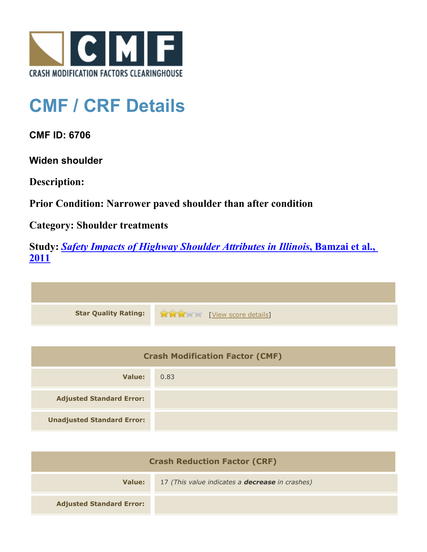

## **CMF / CRF Details**

**CMF ID: 6706**

**Widen shoulder**

**Description:** 

**Prior Condition: Narrower paved shoulder than after condition**

**Category: Shoulder treatments**

**Study:** *[Safety Impacts of Highway Shoulder Attributes in Illinois](http://www.cmfclearinghouse.org/study_detail.cfm?stid=404)***[, Bamzai et al.,](http://www.cmfclearinghouse.org/study_detail.cfm?stid=404) [2011](http://www.cmfclearinghouse.org/study_detail.cfm?stid=404)**

| Star Quality Rating: 1999 [View score details] |
|------------------------------------------------|

| <b>Crash Modification Factor (CMF)</b> |      |
|----------------------------------------|------|
| Value:                                 | 0.83 |
| <b>Adjusted Standard Error:</b>        |      |
| <b>Unadjusted Standard Error:</b>      |      |

| <b>Crash Reduction Factor (CRF)</b> |                                                        |
|-------------------------------------|--------------------------------------------------------|
| Value:                              | 17 (This value indicates a <b>decrease</b> in crashes) |
| <b>Adjusted Standard Error:</b>     |                                                        |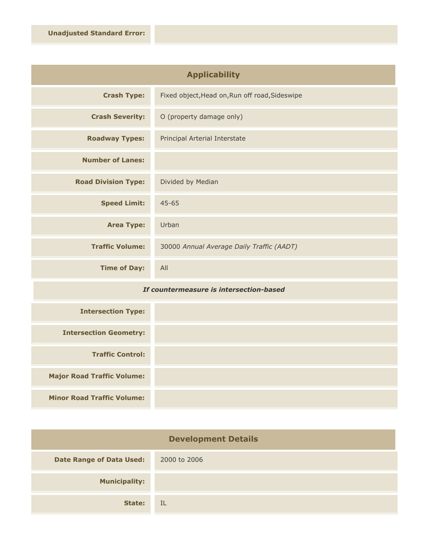| <b>Applicability</b>       |                                                |
|----------------------------|------------------------------------------------|
| <b>Crash Type:</b>         | Fixed object, Head on, Run off road, Sideswipe |
| <b>Crash Severity:</b>     | O (property damage only)                       |
| <b>Roadway Types:</b>      | Principal Arterial Interstate                  |
| <b>Number of Lanes:</b>    |                                                |
| <b>Road Division Type:</b> | Divided by Median                              |
| <b>Speed Limit:</b>        | $45 - 65$                                      |
| <b>Area Type:</b>          | Urban                                          |
| <b>Traffic Volume:</b>     | 30000 Annual Average Daily Traffic (AADT)      |
| <b>Time of Day:</b>        | All                                            |

## *If countermeasure is intersection-based*

| <b>Intersection Type:</b>         |  |
|-----------------------------------|--|
| <b>Intersection Geometry:</b>     |  |
| <b>Traffic Control:</b>           |  |
| <b>Major Road Traffic Volume:</b> |  |
| <b>Minor Road Traffic Volume:</b> |  |

| <b>Development Details</b>      |              |
|---------------------------------|--------------|
| <b>Date Range of Data Used:</b> | 2000 to 2006 |
| <b>Municipality:</b>            |              |
| State:                          | IL           |